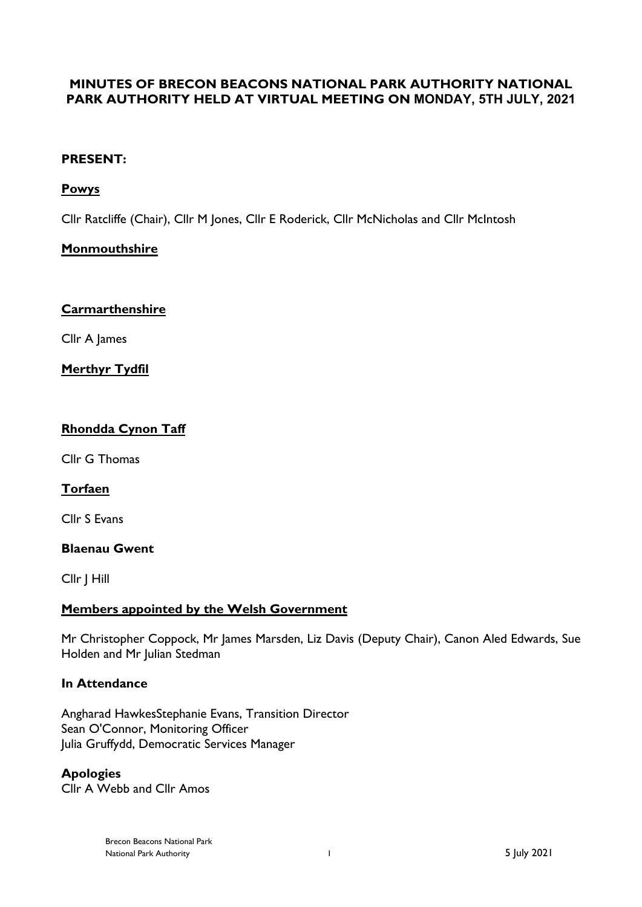# **MINUTES OF BRECON BEACONS NATIONAL PARK AUTHORITY NATIONAL PARK AUTHORITY HELD AT VIRTUAL MEETING ON MONDAY, 5TH JULY, 2021**

## **PRESENT:**

# **Powys**

Cllr Ratcliffe (Chair), Cllr M Jones, Cllr E Roderick, Cllr McNicholas and Cllr McIntosh

# **Monmouthshire**

## **Carmarthenshire**

Cllr A James

**Merthyr Tydfil**

# **Rhondda Cynon Taff**

Cllr G Thomas

## **Torfaen**

Cllr S Evans

#### **Blaenau Gwent**

Cllr J Hill

## **Members appointed by the Welsh Government**

Mr Christopher Coppock, Mr James Marsden, Liz Davis (Deputy Chair), Canon Aled Edwards, Sue Holden and Mr Julian Stedman

## **In Attendance**

Angharad HawkesStephanie Evans, Transition Director Sean O'Connor, Monitoring Officer Julia Gruffydd, Democratic Services Manager

## **Apologies**

Cllr A Webb and Cllr Amos

Brecon Beacons National Park National Park Authority 1 5 July 2021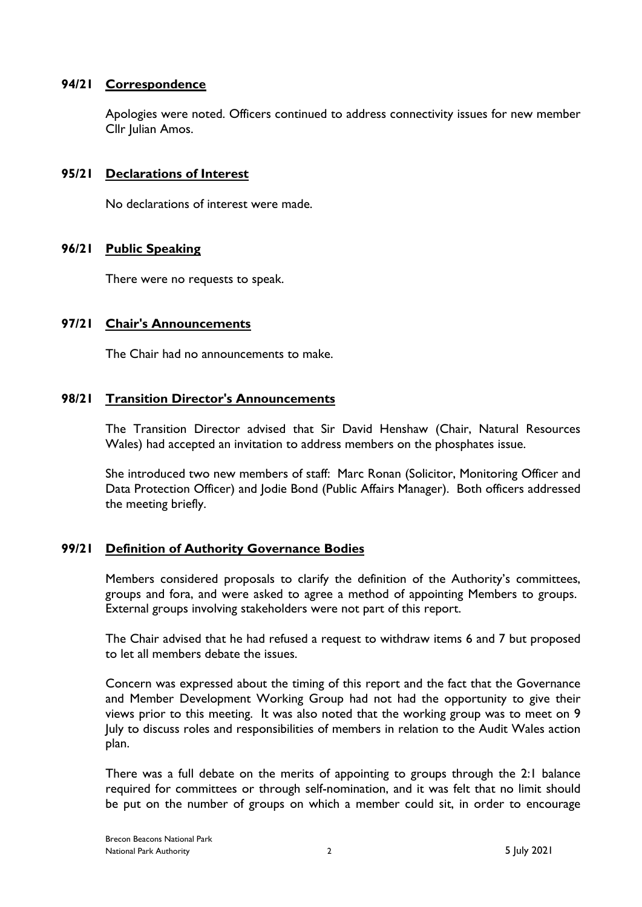## **94/21 Correspondence**

Apologies were noted. Officers continued to address connectivity issues for new member Cllr Julian Amos.

#### **95/21 Declarations of Interest**

No declarations of interest were made.

#### **96/21 Public Speaking**

There were no requests to speak.

#### **97/21 Chair's Announcements**

The Chair had no announcements to make.

#### **98/21 Transition Director's Announcements**

The Transition Director advised that Sir David Henshaw (Chair, Natural Resources Wales) had accepted an invitation to address members on the phosphates issue.

She introduced two new members of staff: Marc Ronan (Solicitor, Monitoring Officer and Data Protection Officer) and Jodie Bond (Public Affairs Manager). Both officers addressed the meeting briefly.

## **99/21 Definition of Authority Governance Bodies**

Members considered proposals to clarify the definition of the Authority's committees, groups and fora, and were asked to agree a method of appointing Members to groups. External groups involving stakeholders were not part of this report.

The Chair advised that he had refused a request to withdraw items 6 and 7 but proposed to let all members debate the issues.

Concern was expressed about the timing of this report and the fact that the Governance and Member Development Working Group had not had the opportunity to give their views prior to this meeting. It was also noted that the working group was to meet on 9 July to discuss roles and responsibilities of members in relation to the Audit Wales action plan.

There was a full debate on the merits of appointing to groups through the 2:1 balance required for committees or through self-nomination, and it was felt that no limit should be put on the number of groups on which a member could sit, in order to encourage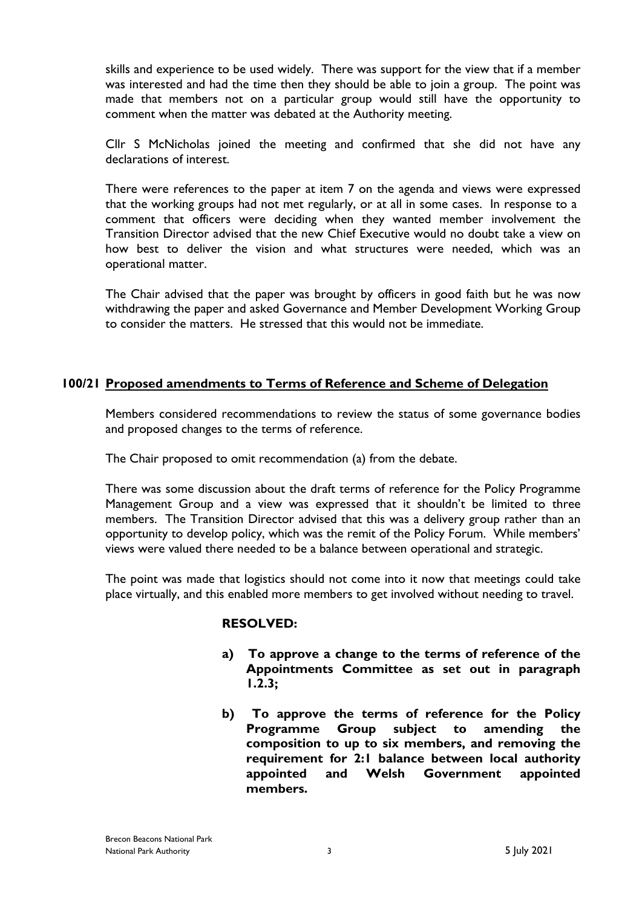skills and experience to be used widely. There was support for the view that if a member was interested and had the time then they should be able to join a group. The point was made that members not on a particular group would still have the opportunity to comment when the matter was debated at the Authority meeting.

Cllr S McNicholas joined the meeting and confirmed that she did not have any declarations of interest.

There were references to the paper at item 7 on the agenda and views were expressed that the working groups had not met regularly, or at all in some cases. In response to a comment that officers were deciding when they wanted member involvement the Transition Director advised that the new Chief Executive would no doubt take a view on how best to deliver the vision and what structures were needed, which was an operational matter.

The Chair advised that the paper was brought by officers in good faith but he was now withdrawing the paper and asked Governance and Member Development Working Group to consider the matters. He stressed that this would not be immediate.

## **100/21 Proposed amendments to Terms of Reference and Scheme of Delegation**

Members considered recommendations to review the status of some governance bodies and proposed changes to the terms of reference.

The Chair proposed to omit recommendation (a) from the debate.

There was some discussion about the draft terms of reference for the Policy Programme Management Group and a view was expressed that it shouldn't be limited to three members. The Transition Director advised that this was a delivery group rather than an opportunity to develop policy, which was the remit of the Policy Forum. While members' views were valued there needed to be a balance between operational and strategic.

The point was made that logistics should not come into it now that meetings could take place virtually, and this enabled more members to get involved without needing to travel.

#### **RESOLVED:**

- **a) To approve a change to the terms of reference of the Appointments Committee as set out in paragraph 1.2.3;**
- **b) To approve the terms of reference for the Policy Programme Group subject to amending the composition to up to six members, and removing the requirement for 2:1 balance between local authority appointed and Welsh Government appointed members.**